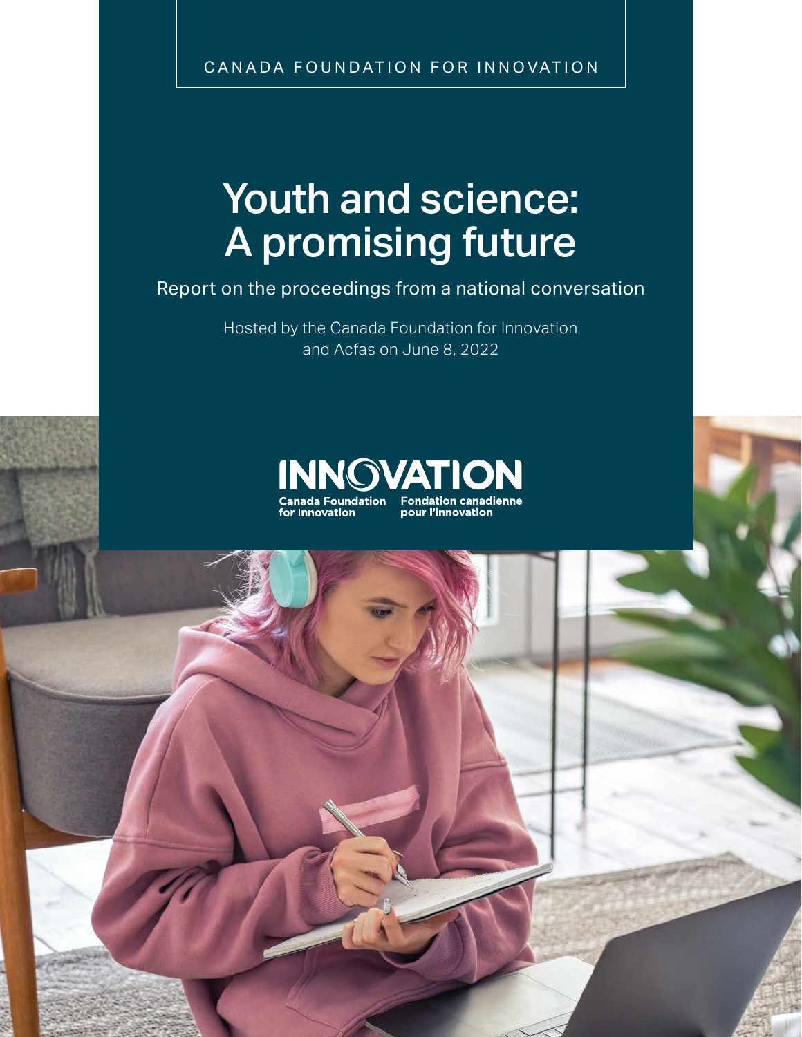CANADA FOUNDATION FOR INNOVATION

# Youth and science: A promising future

Report on the proceedings from a national conversation

Hosted by the Canada Foundation for Innovation and Acfas on June 8, 2022

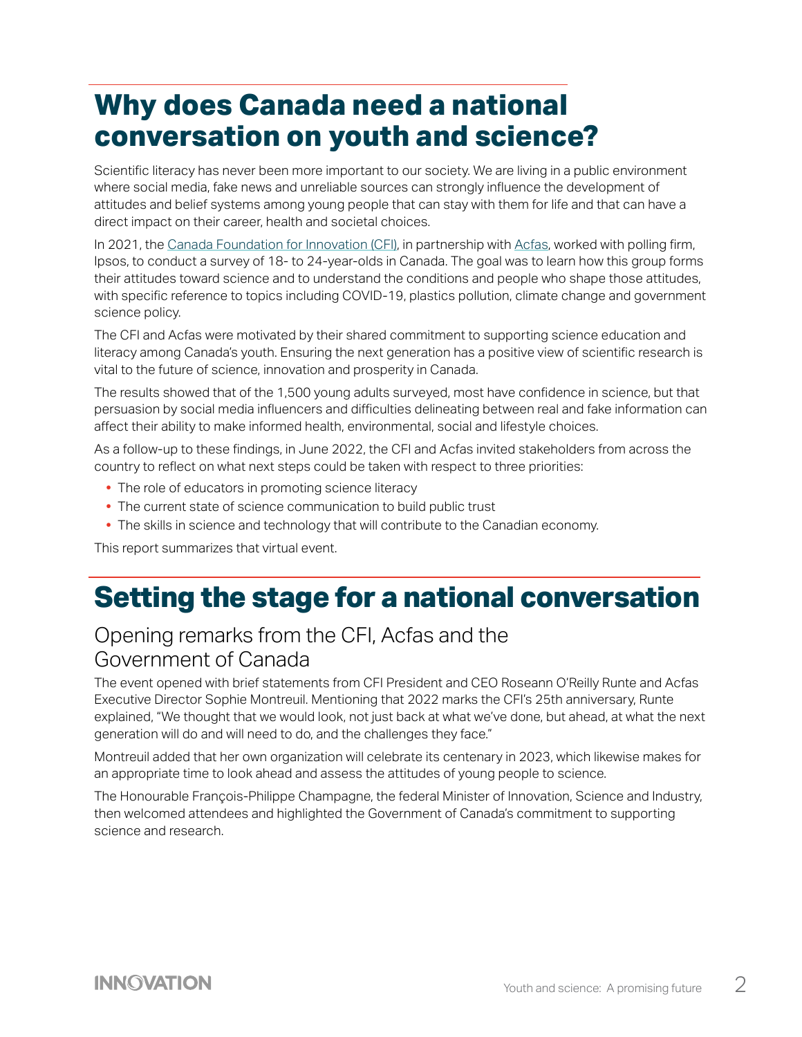## **Why does Canada need a national conversation on youth and science?**

Scientific literacy has never been more important to our society. We are living in a public environment where social media, fake news and unreliable sources can strongly influence the development of attitudes and belief systems among young people that can stay with them for life and that can have a direct impact on their career, health and societal choices.

In 2021, the [Canada Foundation for Innovation \(CFI\)](https://www.innovation.ca/projects-results/current-topics-research-funding/youth-research-promising-future), in partnership with [Acfas](https://www.acfas.ca/), worked with polling firm, Ipsos, to conduct a survey of 18- to 24-year-olds in Canada. The goal was to learn how this group forms their attitudes toward science and to understand the conditions and people who shape those attitudes, with specific reference to topics including COVID-19, plastics pollution, climate change and government science policy.

The CFI and Acfas were motivated by their shared commitment to supporting science education and literacy among Canada's youth. Ensuring the next generation has a positive view of scientific research is vital to the future of science, innovation and prosperity in Canada.

The results showed that of the 1,500 young adults surveyed, most have confidence in science, but that persuasion by social media influencers and difficulties delineating between real and fake information can affect their ability to make informed health, environmental, social and lifestyle choices.

As a follow-up to these findings, in June 2022, the CFI and Acfas invited stakeholders from across the country to reflect on what next steps could be taken with respect to three priorities:

- **•** The role of educators in promoting science literacy
- **•** The current state of science communication to build public trust
- **•** The skills in science and technology that will contribute to the Canadian economy.

This report summarizes that virtual event.

## **Setting the stage for a national conversation**

### Opening remarks from the CFI, Acfas and the Government of Canada

The event opened with brief statements from CFI President and CEO Roseann O'Reilly Runte and Acfas Executive Director Sophie Montreuil. Mentioning that 2022 marks the CFI's 25th anniversary, Runte explained, "We thought that we would look, not just back at what we've done, but ahead, at what the next generation will do and will need to do, and the challenges they face."

Montreuil added that her own organization will celebrate its centenary in 2023, which likewise makes for an appropriate time to look ahead and assess the attitudes of young people to science.

The Honourable François-Philippe Champagne, the federal Minister of Innovation, Science and Industry, then welcomed attendees and highlighted the Government of Canada's commitment to supporting science and research.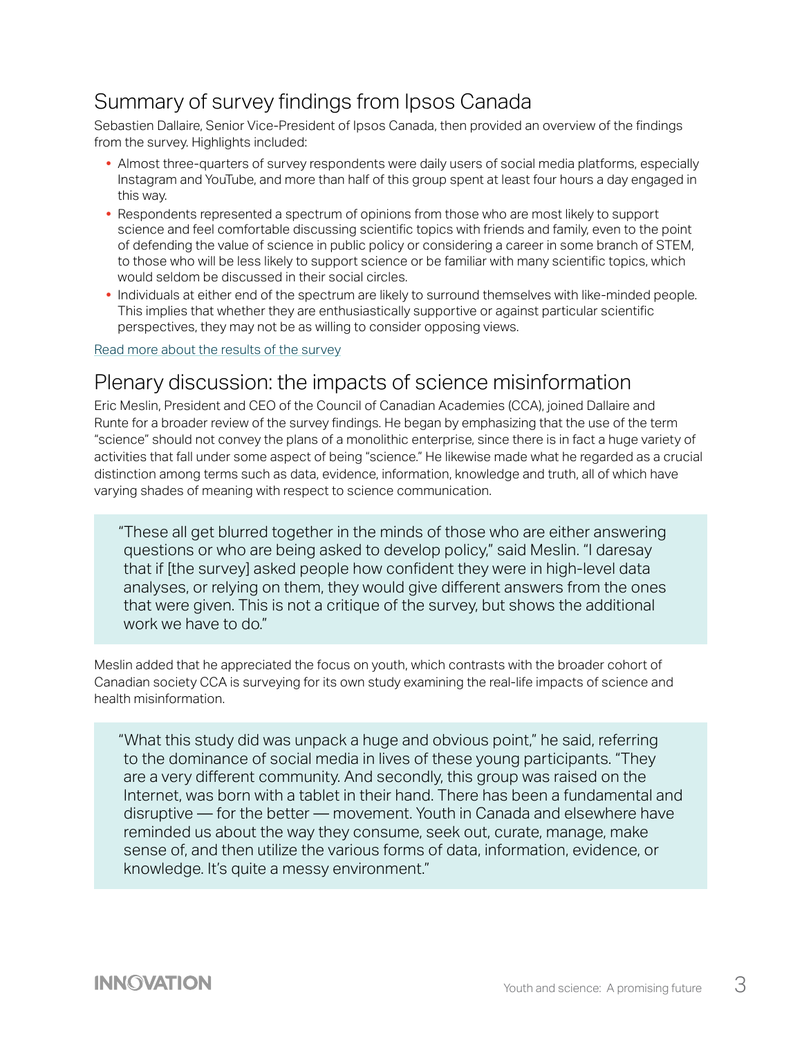### Summary of survey findings from Ipsos Canada

Sebastien Dallaire, Senior Vice-President of Ipsos Canada, then provided an overview of the findings from the survey. Highlights included:

- **•** Almost three-quarters of survey respondents were daily users of social media platforms, especially Instagram and YouTube, and more than half of this group spent at least four hours a day engaged in this way.
- **•** Respondents represented a spectrum of opinions from those who are most likely to support science and feel comfortable discussing scientific topics with friends and family, even to the point of defending the value of science in public policy or considering a career in some branch of STEM, to those who will be less likely to support science or be familiar with many scientific topics, which would seldom be discussed in their social circles.
- **•** Individuals at either end of the spectrum are likely to surround themselves with like-minded people. This implies that whether they are enthusiastically supportive or against particular scientific perspectives, they may not be as willing to consider opposing views.

#### [Read more about the results of the survey](https://www.innovation.ca/news/national-survey-reveals-most-young-adults-have-confidence-science)

#### Plenary discussion: the impacts of science misinformation

Eric Meslin, President and CEO of the Council of Canadian Academies (CCA), joined Dallaire and Runte for a broader review of the survey findings. He began by emphasizing that the use of the term "science" should not convey the plans of a monolithic enterprise, since there is in fact a huge variety of activities that fall under some aspect of being "science." He likewise made what he regarded as a crucial distinction among terms such as data, evidence, information, knowledge and truth, all of which have varying shades of meaning with respect to science communication.

"These all get blurred together in the minds of those who are either answering questions or who are being asked to develop policy," said Meslin. "I daresay that if [the survey] asked people how confident they were in high-level data analyses, or relying on them, they would give different answers from the ones that were given. This is not a critique of the survey, but shows the additional work we have to do."

Meslin added that he appreciated the focus on youth, which contrasts with the broader cohort of Canadian society CCA is surveying for its own study examining the real-life impacts of science and health misinformation.

"What this study did was unpack a huge and obvious point," he said, referring to the dominance of social media in lives of these young participants. "They are a very different community. And secondly, this group was raised on the Internet, was born with a tablet in their hand. There has been a fundamental and disruptive — for the better — movement. Youth in Canada and elsewhere have reminded us about the way they consume, seek out, curate, manage, make sense of, and then utilize the various forms of data, information, evidence, or knowledge. It's quite a messy environment."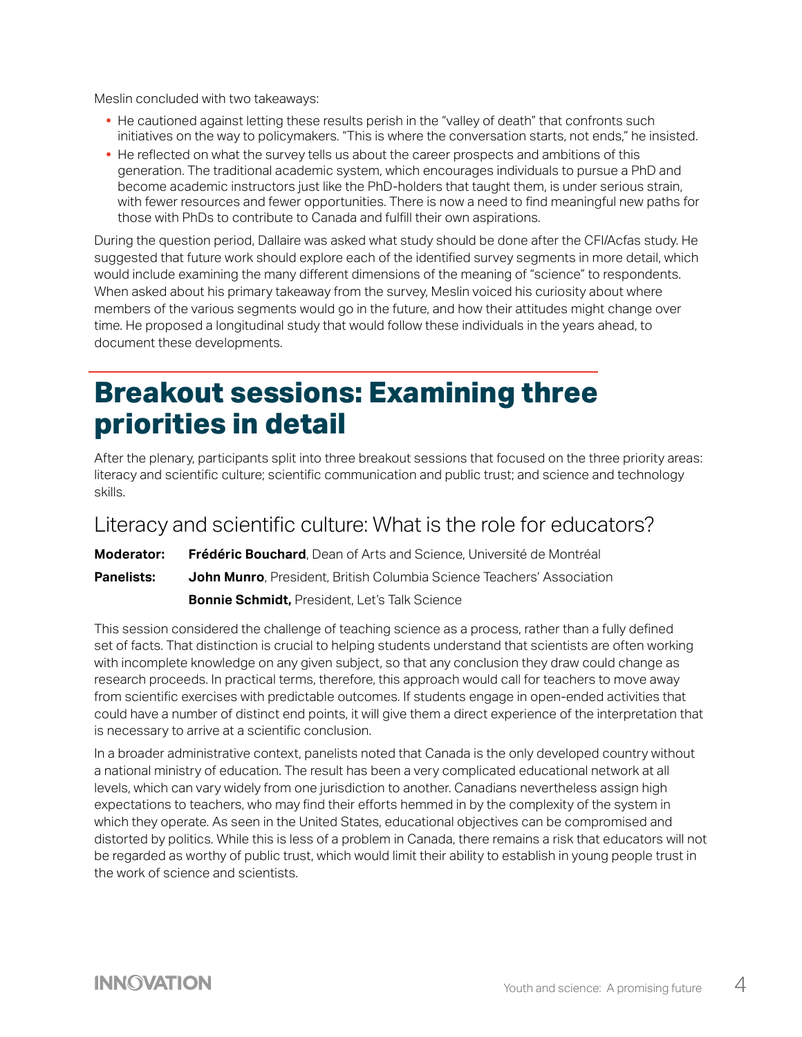Meslin concluded with two takeaways:

- **•** He cautioned against letting these results perish in the "valley of death" that confronts such initiatives on the way to policymakers. "This is where the conversation starts, not ends," he insisted.
- **•** He reflected on what the survey tells us about the career prospects and ambitions of this generation. The traditional academic system, which encourages individuals to pursue a PhD and become academic instructors just like the PhD-holders that taught them, is under serious strain, with fewer resources and fewer opportunities. There is now a need to find meaningful new paths for those with PhDs to contribute to Canada and fulfill their own aspirations.

During the question period, Dallaire was asked what study should be done after the CFI/Acfas study. He suggested that future work should explore each of the identified survey segments in more detail, which would include examining the many different dimensions of the meaning of "science" to respondents. When asked about his primary takeaway from the survey, Meslin voiced his curiosity about where members of the various segments would go in the future, and how their attitudes might change over time. He proposed a longitudinal study that would follow these individuals in the years ahead, to document these developments.

### **Breakout sessions: Examining three priorities in detail**

After the plenary, participants split into three breakout sessions that focused on the three priority areas: literacy and scientific culture; scientific communication and public trust; and science and technology skills.

#### Literacy and scientific culture: What is the role for educators?

**Moderator: Frédéric Bouchard**, Dean of Arts and Science, Université de Montréal **Panelists: John Munro**, President, British Columbia Science Teachers' Association

**Bonnie Schmidt,** President, Let's Talk Science

This session considered the challenge of teaching science as a process, rather than a fully defined set of facts. That distinction is crucial to helping students understand that scientists are often working with incomplete knowledge on any given subject, so that any conclusion they draw could change as research proceeds. In practical terms, therefore, this approach would call for teachers to move away from scientific exercises with predictable outcomes. If students engage in open-ended activities that could have a number of distinct end points, it will give them a direct experience of the interpretation that is necessary to arrive at a scientific conclusion.

In a broader administrative context, panelists noted that Canada is the only developed country without a national ministry of education. The result has been a very complicated educational network at all levels, which can vary widely from one jurisdiction to another. Canadians nevertheless assign high expectations to teachers, who may find their efforts hemmed in by the complexity of the system in which they operate. As seen in the United States, educational objectives can be compromised and distorted by politics. While this is less of a problem in Canada, there remains a risk that educators will not be regarded as worthy of public trust, which would limit their ability to establish in young people trust in the work of science and scientists.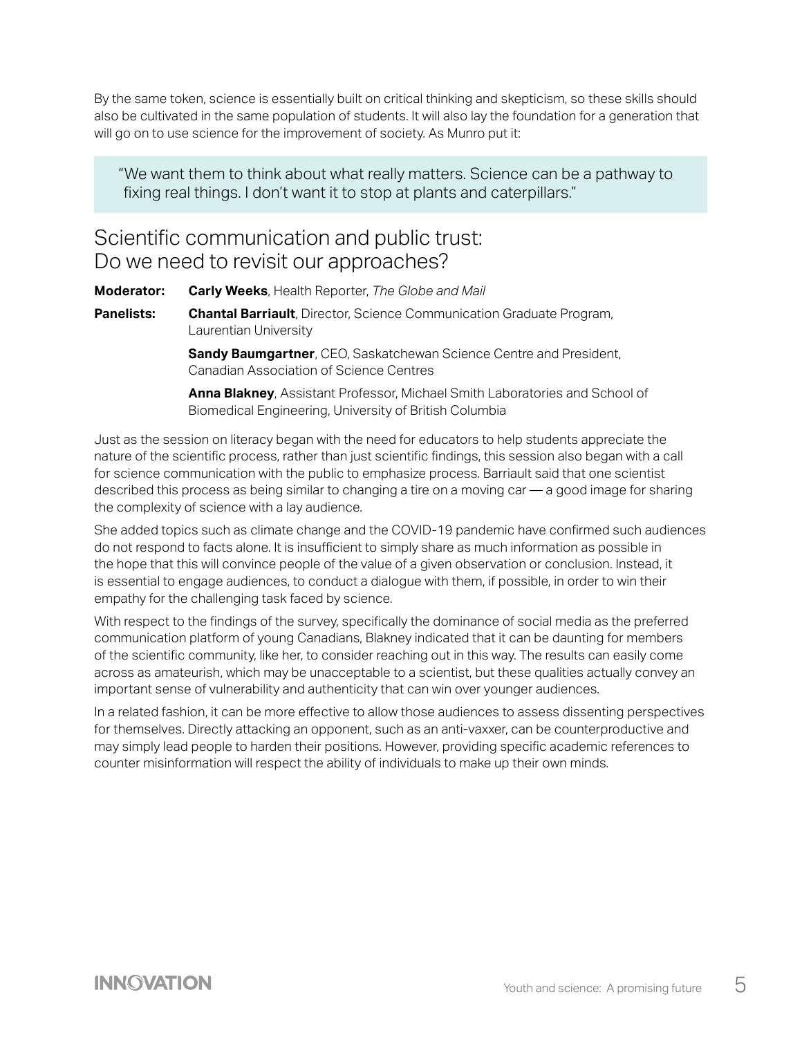By the same token, science is essentially built on critical thinking and skepticism, so these skills should also be cultivated in the same population of students. It will also lay the foundation for a generation that will go on to use science for the improvement of society. As Munro put it:

"We want them to think about what really matters. Science can be a pathway to fixing real things. I don't want it to stop at plants and caterpillars."

### Scientific communication and public trust: Do we need to revisit our approaches?

**Moderator: Carly Weeks**, Health Reporter, *The Globe and Mail*

**Panelists: Chantal Barriault**, Director, Science Communication Graduate Program, Laurentian University

> **Sandy Baumgartner**, CEO, Saskatchewan Science Centre and President, Canadian Association of Science Centres

 **Anna Blakney**, Assistant Professor, Michael Smith Laboratories and School of Biomedical Engineering, University of British Columbia

Just as the session on literacy began with the need for educators to help students appreciate the nature of the scientific process, rather than just scientific findings, this session also began with a call for science communication with the public to emphasize process. Barriault said that one scientist described this process as being similar to changing a tire on a moving car — a good image for sharing the complexity of science with a lay audience.

She added topics such as climate change and the COVID-19 pandemic have confirmed such audiences do not respond to facts alone. It is insufficient to simply share as much information as possible in the hope that this will convince people of the value of a given observation or conclusion. Instead, it is essential to engage audiences, to conduct a dialogue with them, if possible, in order to win their empathy for the challenging task faced by science.

With respect to the findings of the survey, specifically the dominance of social media as the preferred communication platform of young Canadians, Blakney indicated that it can be daunting for members of the scientific community, like her, to consider reaching out in this way. The results can easily come across as amateurish, which may be unacceptable to a scientist, but these qualities actually convey an important sense of vulnerability and authenticity that can win over younger audiences.

In a related fashion, it can be more effective to allow those audiences to assess dissenting perspectives for themselves. Directly attacking an opponent, such as an anti-vaxxer, can be counterproductive and may simply lead people to harden their positions. However, providing specific academic references to counter misinformation will respect the ability of individuals to make up their own minds.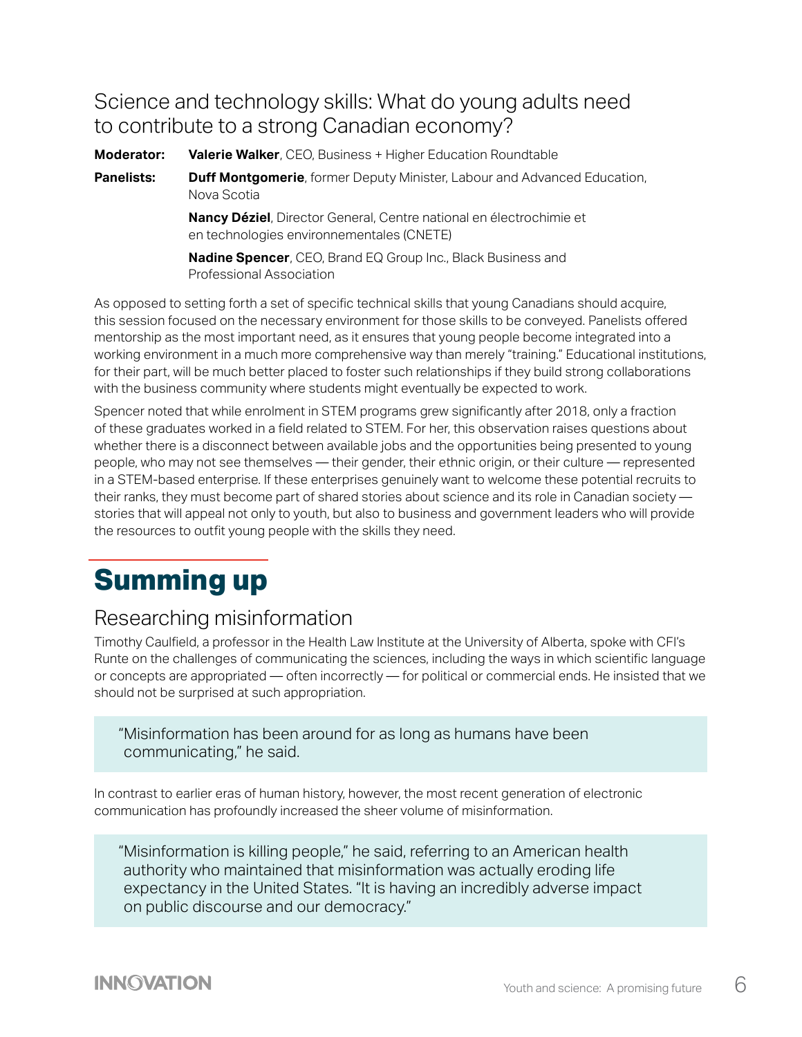### Science and technology skills: What do young adults need to contribute to a strong Canadian economy?

**Moderator: Valerie Walker**, CEO, Business + Higher Education Roundtable

**Panelists: Duff Montgomerie**, former Deputy Minister, Labour and Advanced Education, Nova Scotia

> **Nancy Déziel**, Director General, Centre national en électrochimie et en technologies environnementales (CNETE)

 **Nadine Spencer**, CEO, Brand EQ Group Inc., Black Business and Professional Association

As opposed to setting forth a set of specific technical skills that young Canadians should acquire, this session focused on the necessary environment for those skills to be conveyed. Panelists offered mentorship as the most important need, as it ensures that young people become integrated into a working environment in a much more comprehensive way than merely "training." Educational institutions, for their part, will be much better placed to foster such relationships if they build strong collaborations with the business community where students might eventually be expected to work.

Spencer noted that while enrolment in STEM programs grew significantly after 2018, only a fraction of these graduates worked in a field related to STEM. For her, this observation raises questions about whether there is a disconnect between available jobs and the opportunities being presented to young people, who may not see themselves — their gender, their ethnic origin, or their culture — represented in a STEM-based enterprise. If these enterprises genuinely want to welcome these potential recruits to their ranks, they must become part of shared stories about science and its role in Canadian society stories that will appeal not only to youth, but also to business and government leaders who will provide the resources to outfit young people with the skills they need.

## **Summing up**

### Researching misinformation

Timothy Caulfield, a professor in the Health Law Institute at the University of Alberta, spoke with CFI's Runte on the challenges of communicating the sciences, including the ways in which scientific language or concepts are appropriated — often incorrectly — for political or commercial ends. He insisted that we should not be surprised at such appropriation.

"Misinformation has been around for as long as humans have been communicating," he said.

In contrast to earlier eras of human history, however, the most recent generation of electronic communication has profoundly increased the sheer volume of misinformation.

"Misinformation is killing people," he said, referring to an American health authority who maintained that misinformation was actually eroding life expectancy in the United States. "It is having an incredibly adverse impact on public discourse and our democracy."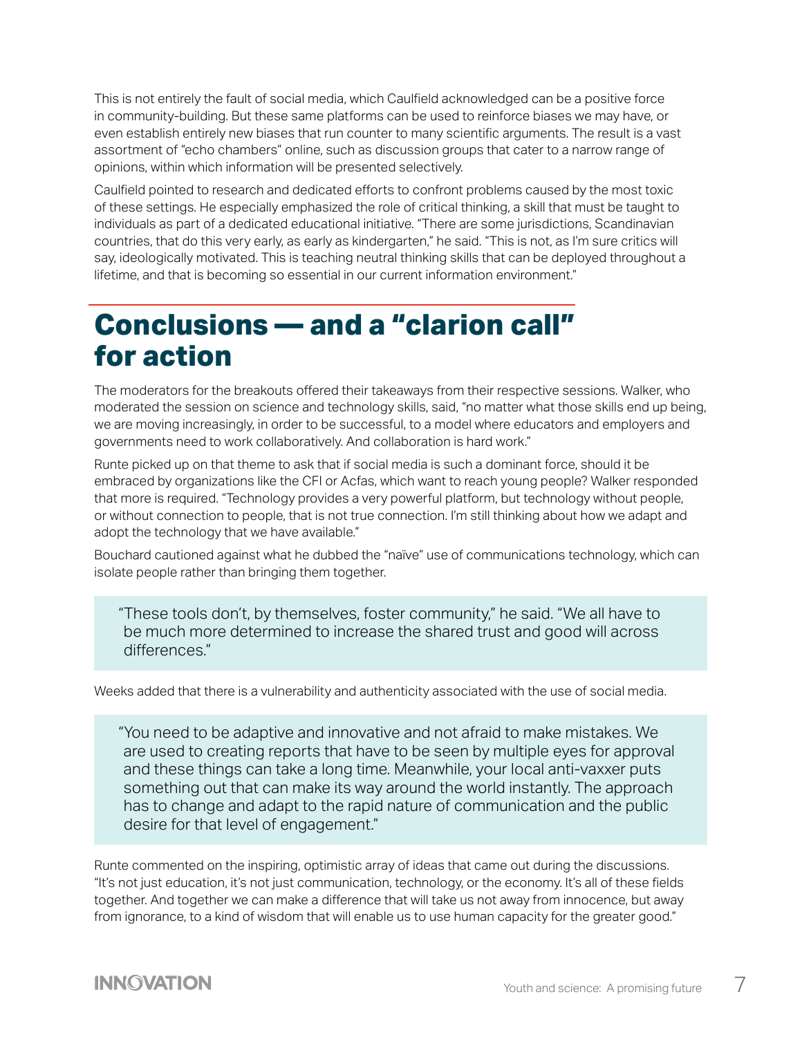This is not entirely the fault of social media, which Caulfield acknowledged can be a positive force in community-building. But these same platforms can be used to reinforce biases we may have, or even establish entirely new biases that run counter to many scientific arguments. The result is a vast assortment of "echo chambers" online, such as discussion groups that cater to a narrow range of opinions, within which information will be presented selectively.

Caulfield pointed to research and dedicated efforts to confront problems caused by the most toxic of these settings. He especially emphasized the role of critical thinking, a skill that must be taught to individuals as part of a dedicated educational initiative. "There are some jurisdictions, Scandinavian countries, that do this very early, as early as kindergarten," he said. "This is not, as I'm sure critics will say, ideologically motivated. This is teaching neutral thinking skills that can be deployed throughout a lifetime, and that is becoming so essential in our current information environment."

## **Conclusions — and a "clarion call" for action**

The moderators for the breakouts offered their takeaways from their respective sessions. Walker, who moderated the session on science and technology skills, said, "no matter what those skills end up being, we are moving increasingly, in order to be successful, to a model where educators and employers and governments need to work collaboratively. And collaboration is hard work."

Runte picked up on that theme to ask that if social media is such a dominant force, should it be embraced by organizations like the CFI or Acfas, which want to reach young people? Walker responded that more is required. "Technology provides a very powerful platform, but technology without people, or without connection to people, that is not true connection. I'm still thinking about how we adapt and adopt the technology that we have available."

Bouchard cautioned against what he dubbed the "naïve" use of communications technology, which can isolate people rather than bringing them together.

"These tools don't, by themselves, foster community," he said. "We all have to be much more determined to increase the shared trust and good will across differences."

Weeks added that there is a vulnerability and authenticity associated with the use of social media.

"You need to be adaptive and innovative and not afraid to make mistakes. We are used to creating reports that have to be seen by multiple eyes for approval and these things can take a long time. Meanwhile, your local anti-vaxxer puts something out that can make its way around the world instantly. The approach has to change and adapt to the rapid nature of communication and the public desire for that level of engagement."

Runte commented on the inspiring, optimistic array of ideas that came out during the discussions. "It's not just education, it's not just communication, technology, or the economy. It's all of these fields together. And together we can make a difference that will take us not away from innocence, but away from ignorance, to a kind of wisdom that will enable us to use human capacity for the greater good."